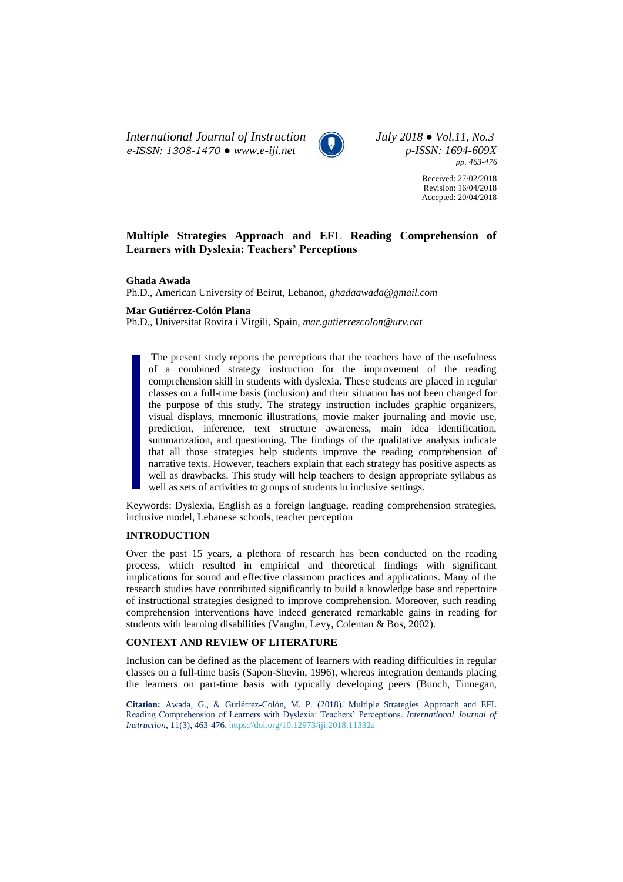*International Journal of Instruction July 2018 ● Vol.11, No.3 e-ISSN: 1308-1470 ● [www.e-iji.net](http://www.e-iji.net/) p-ISSN: 1694-609X*



*pp. 463-476*

Received: 27/02/2018 Revision: 16/04/2018 Accepted: 20/04/2018

# **Multiple Strategies Approach and EFL Reading Comprehension of Learners with Dyslexia: Teachers' Perceptions**

### **Ghada Awada**

Ph.D., American University of Beirut, Lebanon, *ghadaawada@gmail.com*

#### **Mar Gutiérrez-Colón Plana**

Ph.D., Universitat Rovira i Virgili, Spain, *mar.gutierrezcolon@urv.cat*

The present study reports the perceptions that the teachers have of the usefulness of a combined strategy instruction for the improvement of the reading comprehension skill in students with dyslexia. These students are placed in regular classes on a full-time basis (inclusion) and their situation has not been changed for the purpose of this study. The strategy instruction includes graphic organizers, visual displays, mnemonic illustrations, movie maker journaling and movie use, prediction, inference, text structure awareness, main idea identification, summarization, and questioning. The findings of the qualitative analysis indicate that all those strategies help students improve the reading comprehension of narrative texts. However, teachers explain that each strategy has positive aspects as well as drawbacks. This study will help teachers to design appropriate syllabus as well as sets of activities to groups of students in inclusive settings.

Keywords: Dyslexia, English as a foreign language, reading comprehension strategies, inclusive model, Lebanese schools, teacher perception

# **INTRODUCTION**

Over the past 15 years, a plethora of research has been conducted on the reading process, which resulted in empirical and theoretical findings with significant implications for sound and effective classroom practices and applications. Many of the research studies have contributed significantly to build a knowledge base and repertoire of instructional strategies designed to improve comprehension. Moreover, such reading comprehension interventions have indeed generated remarkable gains in reading for students with learning disabilities (Vaughn, Levy, Coleman & Bos, 2002).

# **CONTEXT AND REVIEW OF LITERATURE**

Inclusion can be defined as the placement of learners with reading difficulties in regular classes on a full-time basis (Sapon-Shevin, 1996), whereas integration demands placing the learners on part-time basis with typically developing peers (Bunch, Finnegan,

**Citation:** Awada, G., & Gutiérrez-Colón, M. P. (2018). Multiple Strategies Approach and EFL Reading Comprehension of Learners with Dyslexia: Teachers' Perceptions. *International Journal of Instruction*, 11(3), 463-476. <https://doi.org/10.12973/iji.2018.11332a>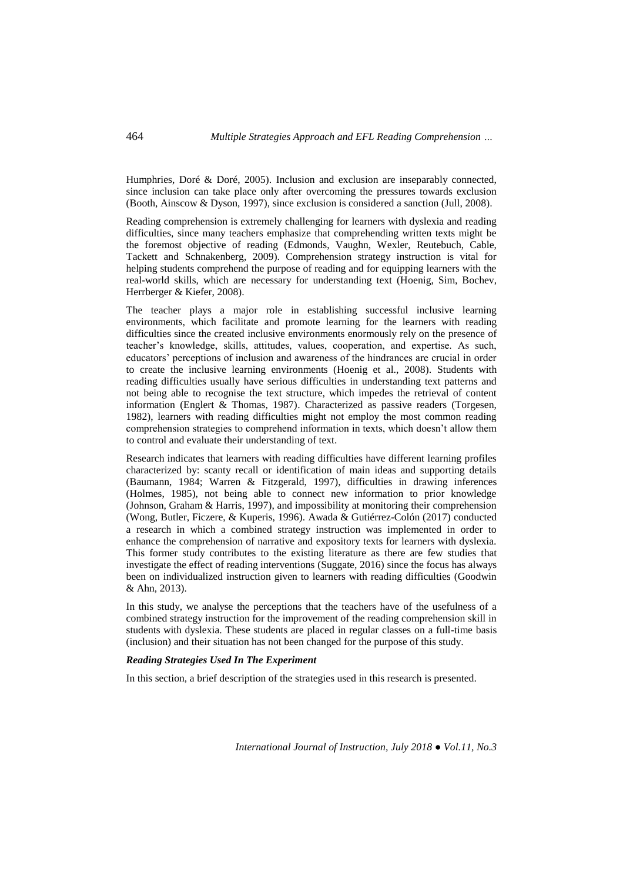Humphries, Doré & Doré, 2005). Inclusion and exclusion are inseparably connected, since inclusion can take place only after overcoming the pressures towards exclusion (Booth, Ainscow & Dyson, 1997), since exclusion is considered a sanction (Jull, 2008).

Reading comprehension is extremely challenging for learners with dyslexia and reading difficulties, since many teachers emphasize that comprehending written texts might be the foremost objective of reading (Edmonds, Vaughn, Wexler, Reutebuch, Cable, Tackett and Schnakenberg, 2009). Comprehension strategy instruction is vital for helping students comprehend the purpose of reading and for equipping learners with the real-world skills, which are necessary for understanding text (Hoenig, Sim, Bochev, Herrberger & Kiefer, 2008).

The teacher plays a major role in establishing successful inclusive learning environments, which facilitate and promote learning for the learners with reading difficulties since the created inclusive environments enormously rely on the presence of teacher's knowledge, skills, attitudes, values, cooperation, and expertise. As such, educators' perceptions of inclusion and awareness of the hindrances are crucial in order to create the inclusive learning environments (Hoenig et al., 2008). Students with reading difficulties usually have serious difficulties in understanding text patterns and not being able to recognise the text structure, which impedes the retrieval of content information (Englert & Thomas, 1987). Characterized as passive readers (Torgesen, 1982), learners with reading difficulties might not employ the most common reading comprehension strategies to comprehend information in texts, which doesn't allow them to control and evaluate their understanding of text.

Research indicates that learners with reading difficulties have different learning profiles characterized by: scanty recall or identification of main ideas and supporting details (Baumann, 1984; Warren & Fitzgerald, 1997), difficulties in drawing inferences (Holmes, 1985), not being able to connect new information to prior knowledge (Johnson, Graham & Harris, 1997), and impossibility at monitoring their comprehension (Wong, Butler, Ficzere, & Kuperis, 1996). Awada & Gutiérrez-Colón (2017) conducted a research in which a combined strategy instruction was implemented in order to enhance the comprehension of narrative and expository texts for learners with dyslexia. This former study contributes to the existing literature as there are few studies that investigate the effect of reading interventions (Suggate, 2016) since the focus has always been on individualized instruction given to learners with reading difficulties (Goodwin & Ahn, 2013).

In this study, we analyse the perceptions that the teachers have of the usefulness of a combined strategy instruction for the improvement of the reading comprehension skill in students with dyslexia. These students are placed in regular classes on a full-time basis (inclusion) and their situation has not been changed for the purpose of this study.

## *Reading Strategies Used In The Experiment*

In this section, a brief description of the strategies used in this research is presented.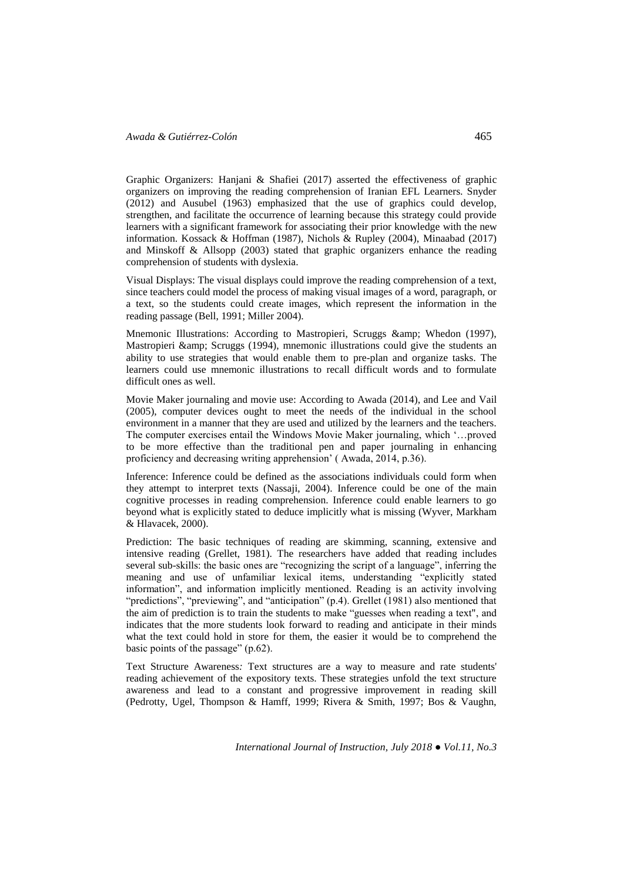Graphic Organizers: Hanjani & Shafiei (2017) asserted the effectiveness of graphic organizers on improving the reading comprehension of Iranian EFL Learners. Snyder (2012) and Ausubel (1963) emphasized that the use of graphics could develop, strengthen, and facilitate the occurrence of learning because this strategy could provide learners with a significant framework for associating their prior knowledge with the new information. Kossack & Hoffman (1987), Nichols & Rupley (2004), Minaabad (2017) and Minskoff & Allsopp (2003) stated that graphic organizers enhance the reading comprehension of students with dyslexia.

Visual Displays: The visual displays could improve the reading comprehension of a text, since teachers could model the process of making visual images of a word, paragraph, or a text, so the students could create images, which represent the information in the reading passage (Bell, 1991; Miller 2004).

Mnemonic Illustrations: According to Mastropieri, Scruggs & amp; Whedon (1997), Mastropieri & amp; Scruggs (1994), mnemonic illustrations could give the students an ability to use strategies that would enable them to pre-plan and organize tasks. The learners could use mnemonic illustrations to recall difficult words and to formulate difficult ones as well.

Movie Maker journaling and movie use: According to Awada (2014), and Lee and Vail (2005), computer devices ought to meet the needs of the individual in the school environment in a manner that they are used and utilized by the learners and the teachers. The computer exercises entail the Windows Movie Maker journaling, which '…proved to be more effective than the traditional pen and paper journaling in enhancing proficiency and decreasing writing apprehension' ( Awada, 2014, p.36).

Inference: Inference could be defined as the associations individuals could form when they attempt to interpret texts (Nassaji, 2004). Inference could be one of the main cognitive processes in reading comprehension. Inference could enable learners to go beyond what is explicitly stated to deduce implicitly what is missing (Wyver, Markham & Hlavacek, 2000).

Prediction: The basic techniques of reading are skimming, scanning, extensive and intensive reading (Grellet, 1981). The researchers have added that reading includes several sub-skills: the basic ones are "recognizing the script of a language", inferring the meaning and use of unfamiliar lexical items, understanding "explicitly stated information", and information implicitly mentioned. Reading is an activity involving "predictions", "previewing", and "anticipation" (p.4). Grellet (1981) also mentioned that the aim of prediction is to train the students to make "guesses when reading a text", and indicates that the more students look forward to reading and anticipate in their minds what the text could hold in store for them, the easier it would be to comprehend the basic points of the passage" (p.62).

Text Structure Awareness*:* Text structures are a way to measure and rate students' reading achievement of the expository texts. These strategies unfold the text structure awareness and lead to a constant and progressive improvement in reading skill (Pedrotty, Ugel, Thompson & Hamff, 1999; Rivera & Smith, 1997; Bos & Vaughn,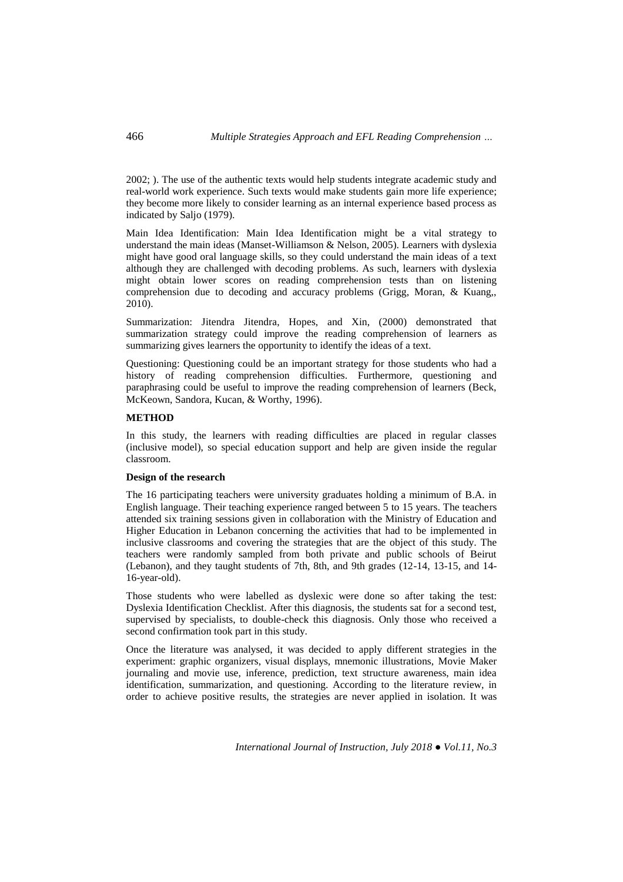2002; ). The use of the authentic texts would help students integrate academic study and real-world work experience. Such texts would make students gain more life experience; they become more likely to consider learning as an internal experience based process as indicated by Saljo (1979).

Main Idea Identification: Main Idea Identification might be a vital strategy to understand the main ideas (Manset-Williamson & Nelson, 2005). Learners with dyslexia might have good oral language skills, so they could understand the main ideas of a text although they are challenged with decoding problems. As such, learners with dyslexia might obtain lower scores on reading comprehension tests than on listening comprehension due to decoding and accuracy problems (Grigg, Moran, & Kuang,, 2010).

Summarization: Jitendra Jitendra, Hopes, and Xin, (2000) demonstrated that summarization strategy could improve the reading comprehension of learners as summarizing gives learners the opportunity to identify the ideas of a text.

Questioning: Questioning could be an important strategy for those students who had a history of reading comprehension difficulties. Furthermore, questioning and paraphrasing could be useful to improve the reading comprehension of learners (Beck, McKeown, Sandora, Kucan, & Worthy, 1996).

## **METHOD**

In this study, the learners with reading difficulties are placed in regular classes (inclusive model), so special education support and help are given inside the regular classroom.

# **Design of the research**

The 16 participating teachers were university graduates holding a minimum of B.A. in English language. Their teaching experience ranged between 5 to 15 years. The teachers attended six training sessions given in collaboration with the Ministry of Education and Higher Education in Lebanon concerning the activities that had to be implemented in inclusive classrooms and covering the strategies that are the object of this study. The teachers were randomly sampled from both private and public schools of Beirut (Lebanon), and they taught students of 7th, 8th, and 9th grades (12-14, 13-15, and 14- 16-year-old).

Those students who were labelled as dyslexic were done so after taking the test: Dyslexia Identification Checklist. After this diagnosis, the students sat for a second test, supervised by specialists, to double-check this diagnosis. Only those who received a second confirmation took part in this study.

Once the literature was analysed, it was decided to apply different strategies in the experiment: graphic organizers, visual displays, mnemonic illustrations, Movie Maker journaling and movie use, inference, prediction, text structure awareness, main idea identification, summarization, and questioning. According to the literature review, in order to achieve positive results, the strategies are never applied in isolation. It was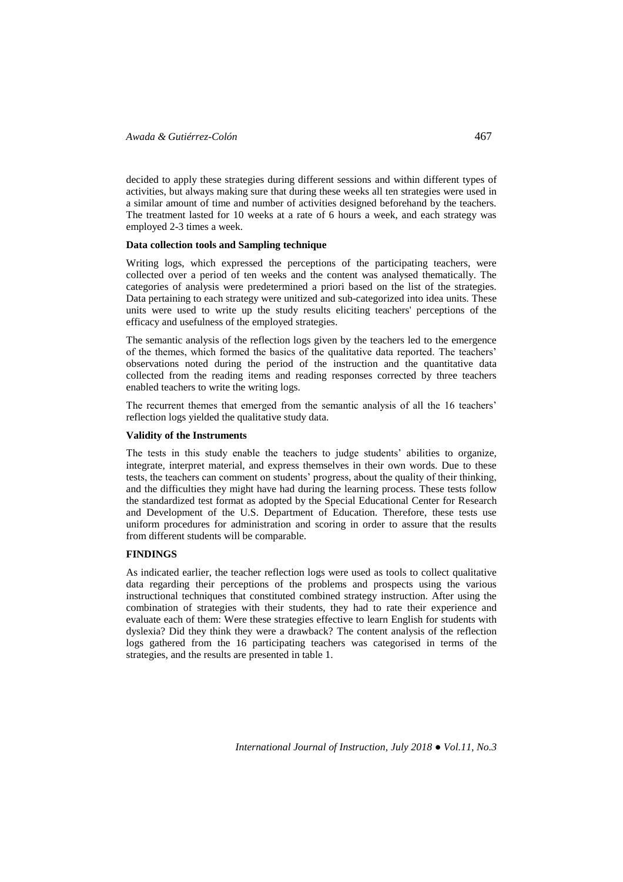decided to apply these strategies during different sessions and within different types of activities, but always making sure that during these weeks all ten strategies were used in a similar amount of time and number of activities designed beforehand by the teachers. The treatment lasted for 10 weeks at a rate of 6 hours a week, and each strategy was employed 2-3 times a week.

### **Data collection tools and Sampling technique**

Writing logs, which expressed the perceptions of the participating teachers, were collected over a period of ten weeks and the content was analysed thematically. The categories of analysis were predetermined a priori based on the list of the strategies. Data pertaining to each strategy were unitized and sub-categorized into idea units. These units were used to write up the study results eliciting teachers' perceptions of the efficacy and usefulness of the employed strategies.

The semantic analysis of the reflection logs given by the teachers led to the emergence of the themes, which formed the basics of the qualitative data reported. The teachers' observations noted during the period of the instruction and the quantitative data collected from the reading items and reading responses corrected by three teachers enabled teachers to write the writing logs.

The recurrent themes that emerged from the semantic analysis of all the 16 teachers' reflection logs yielded the qualitative study data.

#### **Validity of the Instruments**

The tests in this study enable the teachers to judge students' abilities to organize, integrate, interpret material, and express themselves in their own words. Due to these tests, the teachers can comment on students' progress, about the quality of their thinking, and the difficulties they might have had during the learning process. These tests follow the standardized test format as adopted by the Special Educational Center for Research and Development of the U.S. Department of Education. Therefore, these tests use uniform procedures for administration and scoring in order to assure that the results from different students will be comparable.

## **FINDINGS**

As indicated earlier, the teacher reflection logs were used as tools to collect qualitative data regarding their perceptions of the problems and prospects using the various instructional techniques that constituted combined strategy instruction. After using the combination of strategies with their students, they had to rate their experience and evaluate each of them: Were these strategies effective to learn English for students with dyslexia? Did they think they were a drawback? The content analysis of the reflection logs gathered from the 16 participating teachers was categorised in terms of the strategies, and the results are presented in table 1.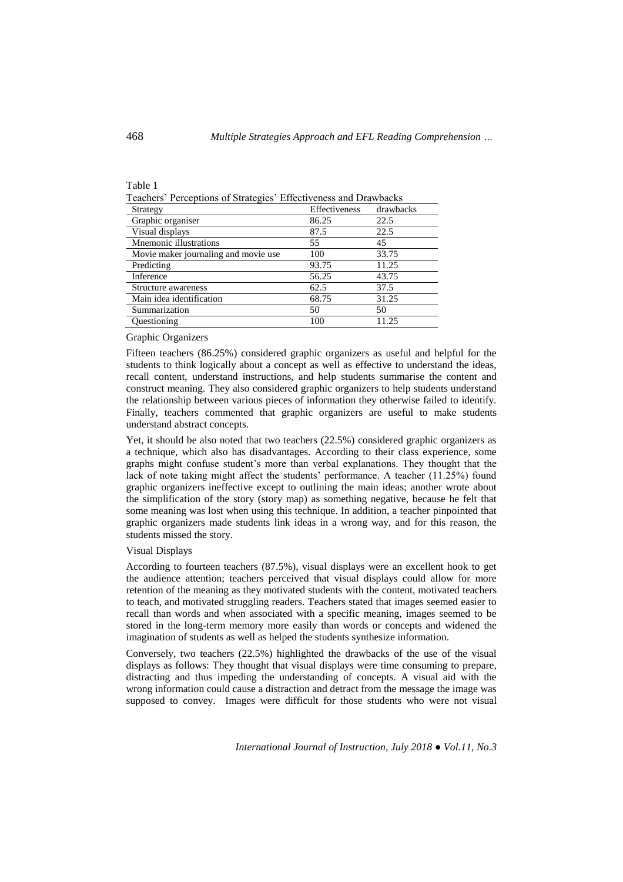| Teachers' Perceptions of Strategies' Effectiveness and Drawbacks |               |           |
|------------------------------------------------------------------|---------------|-----------|
| Strategy                                                         | Effectiveness | drawbacks |
| Graphic organiser                                                | 86.25         | 22.5      |
| Visual displays                                                  | 87.5          | 22.5      |
| Mnemonic illustrations                                           | 55            | 45        |
| Movie maker journaling and movie use                             | 100           | 33.75     |
| Predicting                                                       | 93.75         | 11.25     |
| Inference                                                        | 56.25         | 43.75     |
| Structure awareness                                              | 62.5          | 37.5      |
| Main idea identification                                         | 68.75         | 31.25     |
| Summarization                                                    | 50            | 50        |
| Ouestioning                                                      | 100           | 11.25     |

Graphic Organizers

Fifteen teachers (86.25%) considered graphic organizers as useful and helpful for the students to think logically about a concept as well as effective to understand the ideas, recall content, understand instructions, and help students summarise the content and construct meaning. They also considered graphic organizers to help students understand the relationship between various pieces of information they otherwise failed to identify. Finally, teachers commented that graphic organizers are useful to make students understand abstract concepts.

Yet, it should be also noted that two teachers (22.5%) considered graphic organizers as a technique, which also has disadvantages. According to their class experience, some graphs might confuse student's more than verbal explanations. They thought that the lack of note taking might affect the students' performance. A teacher (11.25%) found graphic organizers ineffective except to outlining the main ideas; another wrote about the simplification of the story (story map) as something negative, because he felt that some meaning was lost when using this technique. In addition, a teacher pinpointed that graphic organizers made students link ideas in a wrong way, and for this reason, the students missed the story.

# Visual Displays

According to fourteen teachers (87.5%), visual displays were an excellent hook to get the audience attention; teachers perceived that visual displays could allow for more retention of the meaning as they motivated students with the content, motivated teachers to teach, and motivated struggling readers. Teachers stated that images seemed easier to recall than words and when associated with a specific meaning, images seemed to be stored in the long-term memory more easily than words or concepts and widened the imagination of students as well as helped the students synthesize information.

Conversely, two teachers (22.5%) highlighted the drawbacks of the use of the visual displays as follows: They thought that visual displays were time consuming to prepare, distracting and thus impeding the understanding of concepts. A visual aid with the wrong information could cause a distraction and detract from the message the image was supposed to convey. Images were difficult for those students who were not visual

Table 1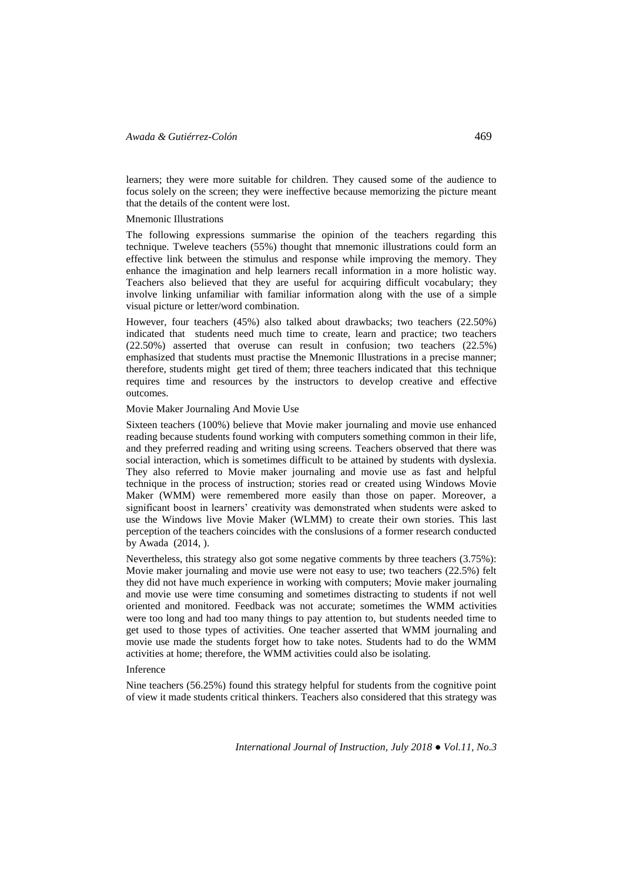learners; they were more suitable for children. They caused some of the audience to focus solely on the screen; they were ineffective because memorizing the picture meant that the details of the content were lost.

Mnemonic Illustrations

The following expressions summarise the opinion of the teachers regarding this technique. Tweleve teachers (55%) thought that mnemonic illustrations could form an effective link between the stimulus and response while improving the memory. They enhance the imagination and help learners recall information in a more holistic way. Teachers also believed that they are useful for acquiring difficult vocabulary; they involve linking unfamiliar with familiar information along with the use of a simple visual picture or letter/word combination.

However, four teachers (45%) also talked about drawbacks; two teachers (22.50%) indicated that students need much time to create, learn and practice; two teachers (22.50%) asserted that overuse can result in confusion; two teachers (22.5%) emphasized that students must practise the Mnemonic Illustrations in a precise manner; therefore, students might get tired of them; three teachers indicated that this technique requires time and resources by the instructors to develop creative and effective outcomes.

# Movie Maker Journaling And Movie Use

Sixteen teachers (100%) believe that Movie maker journaling and movie use enhanced reading because students found working with computers something common in their life, and they preferred reading and writing using screens. Teachers observed that there was social interaction, which is sometimes difficult to be attained by students with dyslexia. They also referred to Movie maker journaling and movie use as fast and helpful technique in the process of instruction; stories read or created using Windows Movie Maker (WMM) were remembered more easily than those on paper. Moreover, a significant boost in learners' creativity was demonstrated when students were asked to use the Windows live Movie Maker (WLMM) to create their own stories. This last perception of the teachers coincides with the conslusions of a former research conducted by Awada (2014, ).

Nevertheless, this strategy also got some negative comments by three teachers (3.75%): Movie maker journaling and movie use were not easy to use; two teachers (22.5%) felt they did not have much experience in working with computers; Movie maker journaling and movie use were time consuming and sometimes distracting to students if not well oriented and monitored. Feedback was not accurate; sometimes the WMM activities were too long and had too many things to pay attention to, but students needed time to get used to those types of activities. One teacher asserted that WMM journaling and movie use made the students forget how to take notes. Students had to do the WMM activities at home; therefore, the WMM activities could also be isolating.

## Inference

Nine teachers (56.25%) found this strategy helpful for students from the cognitive point of view it made students critical thinkers. Teachers also considered that this strategy was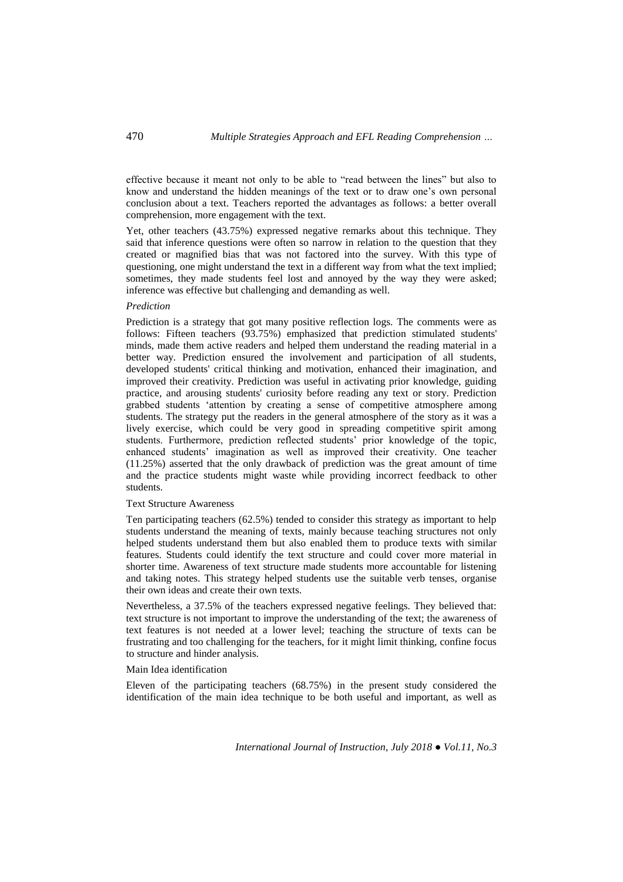effective because it meant not only to be able to "read between the lines" but also to know and understand the hidden meanings of the text or to draw one's own personal conclusion about a text. Teachers reported the advantages as follows: a better overall comprehension, more engagement with the text.

Yet, other teachers (43.75%) expressed negative remarks about this technique. They said that inference questions were often so narrow in relation to the question that they created or magnified bias that was not factored into the survey. With this type of questioning, one might understand the text in a different way from what the text implied; sometimes, they made students feel lost and annoyed by the way they were asked; inference was effective but challenging and demanding as well.

#### *Prediction*

Prediction is a strategy that got many positive reflection logs. The comments were as follows: Fifteen teachers (93.75%) emphasized that prediction stimulated students' minds, made them active readers and helped them understand the reading material in a better way. Prediction ensured the involvement and participation of all students, developed students' critical thinking and motivation, enhanced their imagination, and improved their creativity. Prediction was useful in activating prior knowledge, guiding practice, and arousing students' curiosity before reading any text or story. Prediction grabbed students 'attention by creating a sense of competitive atmosphere among students. The strategy put the readers in the general atmosphere of the story as it was a lively exercise, which could be very good in spreading competitive spirit among students. Furthermore, prediction reflected students' prior knowledge of the topic, enhanced students' imagination as well as improved their creativity. One teacher (11.25%) asserted that the only drawback of prediction was the great amount of time and the practice students might waste while providing incorrect feedback to other students.

# Text Structure Awareness

Ten participating teachers (62.5%) tended to consider this strategy as important to help students understand the meaning of texts, mainly because teaching structures not only helped students understand them but also enabled them to produce texts with similar features. Students could identify the text structure and could cover more material in shorter time. Awareness of text structure made students more accountable for listening and taking notes. This strategy helped students use the suitable verb tenses, organise their own ideas and create their own texts.

Nevertheless, a 37.5% of the teachers expressed negative feelings. They believed that: text structure is not important to improve the understanding of the text; the awareness of text features is not needed at a lower level; teaching the structure of texts can be frustrating and too challenging for the teachers, for it might limit thinking, confine focus to structure and hinder analysis.

## Main Idea identification

Eleven of the participating teachers (68.75%) in the present study considered the identification of the main idea technique to be both useful and important, as well as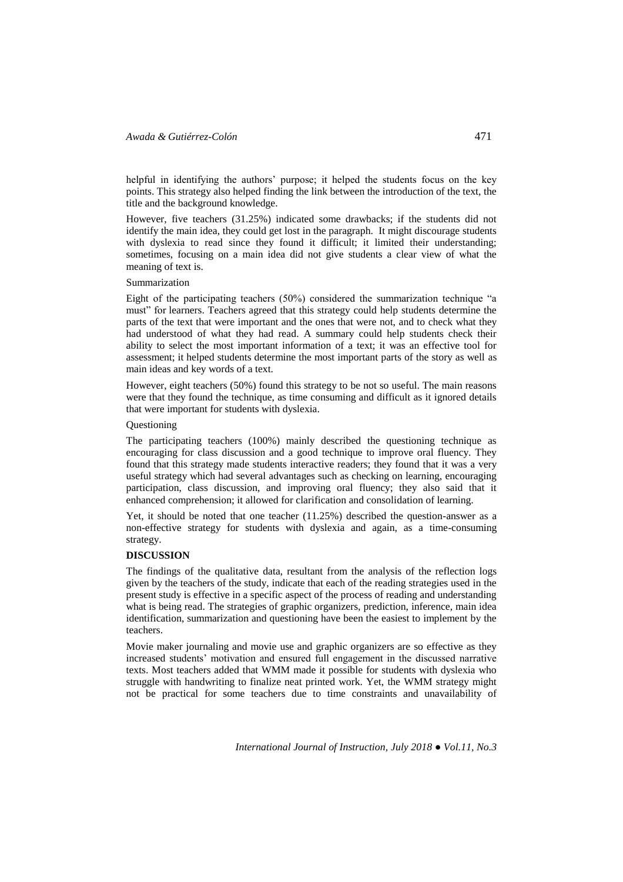helpful in identifying the authors' purpose; it helped the students focus on the key points. This strategy also helped finding the link between the introduction of the text, the title and the background knowledge.

However, five teachers (31.25%) indicated some drawbacks; if the students did not identify the main idea, they could get lost in the paragraph. It might discourage students with dyslexia to read since they found it difficult; it limited their understanding; sometimes, focusing on a main idea did not give students a clear view of what the meaning of text is.

### Summarization

Eight of the participating teachers (50%) considered the summarization technique "a must" for learners. Teachers agreed that this strategy could help students determine the parts of the text that were important and the ones that were not, and to check what they had understood of what they had read. A summary could help students check their ability to select the most important information of a text; it was an effective tool for assessment; it helped students determine the most important parts of the story as well as main ideas and key words of a text.

However, eight teachers (50%) found this strategy to be not so useful. The main reasons were that they found the technique, as time consuming and difficult as it ignored details that were important for students with dyslexia.

### **Ouestioning**

The participating teachers (100%) mainly described the questioning technique as encouraging for class discussion and a good technique to improve oral fluency. They found that this strategy made students interactive readers; they found that it was a very useful strategy which had several advantages such as checking on learning, encouraging participation, class discussion, and improving oral fluency; they also said that it enhanced comprehension; it allowed for clarification and consolidation of learning.

Yet, it should be noted that one teacher (11.25%) described the question-answer as a non-effective strategy for students with dyslexia and again, as a time-consuming strategy.

# **DISCUSSION**

The findings of the qualitative data, resultant from the analysis of the reflection logs given by the teachers of the study, indicate that each of the reading strategies used in the present study is effective in a specific aspect of the process of reading and understanding what is being read. The strategies of graphic organizers, prediction, inference, main idea identification, summarization and questioning have been the easiest to implement by the teachers.

Movie maker journaling and movie use and graphic organizers are so effective as they increased students' motivation and ensured full engagement in the discussed narrative texts. Most teachers added that WMM made it possible for students with dyslexia who struggle with handwriting to finalize neat printed work. Yet, the WMM strategy might not be practical for some teachers due to time constraints and unavailability of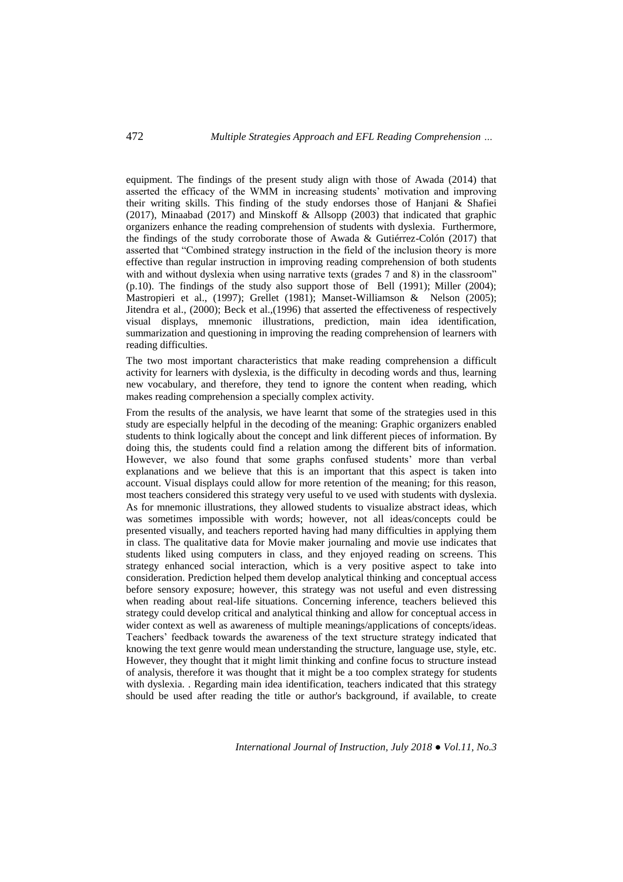equipment. The findings of the present study align with those of Awada (2014) that asserted the efficacy of the WMM in increasing students' motivation and improving their writing skills. This finding of the study endorses those of Hanjani & Shafiei (2017), Minaabad (2017) and Minskoff & Allsopp (2003) that indicated that graphic organizers enhance the reading comprehension of students with dyslexia. Furthermore, the findings of the study corroborate those of Awada & Gutiérrez-Colón (2017) that asserted that "Combined strategy instruction in the field of the inclusion theory is more effective than regular instruction in improving reading comprehension of both students with and without dyslexia when using narrative texts (grades 7 and 8) in the classroom" (p.10). The findings of the study also support those of Bell (1991); Miller (2004); Mastropieri et al., (1997); Grellet (1981); Manset-Williamson & Nelson (2005); Jitendra et al., (2000); Beck et al.,(1996) that asserted the effectiveness of respectively visual displays, mnemonic illustrations, prediction, main idea identification, summarization and questioning in improving the reading comprehension of learners with reading difficulties.

The two most important characteristics that make reading comprehension a difficult activity for learners with dyslexia, is the difficulty in decoding words and thus, learning new vocabulary, and therefore, they tend to ignore the content when reading, which makes reading comprehension a specially complex activity.

From the results of the analysis, we have learnt that some of the strategies used in this study are especially helpful in the decoding of the meaning: Graphic organizers enabled students to think logically about the concept and link different pieces of information. By doing this, the students could find a relation among the different bits of information. However, we also found that some graphs confused students' more than verbal explanations and we believe that this is an important that this aspect is taken into account. Visual displays could allow for more retention of the meaning; for this reason, most teachers considered this strategy very useful to ve used with students with dyslexia. As for mnemonic illustrations, they allowed students to visualize abstract ideas, which was sometimes impossible with words; however, not all ideas/concepts could be presented visually, and teachers reported having had many difficulties in applying them in class. The qualitative data for Movie maker journaling and movie use indicates that students liked using computers in class, and they enjoyed reading on screens. This strategy enhanced social interaction, which is a very positive aspect to take into consideration. Prediction helped them develop analytical thinking and conceptual access before sensory exposure; however, this strategy was not useful and even distressing when reading about real-life situations. Concerning inference, teachers believed this strategy could develop critical and analytical thinking and allow for conceptual access in wider context as well as awareness of multiple meanings/applications of concepts/ideas. Teachers' feedback towards the awareness of the text structure strategy indicated that knowing the text genre would mean understanding the structure, language use, style, etc. However, they thought that it might limit thinking and confine focus to structure instead of analysis, therefore it was thought that it might be a too complex strategy for students with dyslexia. . Regarding main idea identification, teachers indicated that this strategy should be used after reading the title or author's background, if available, to create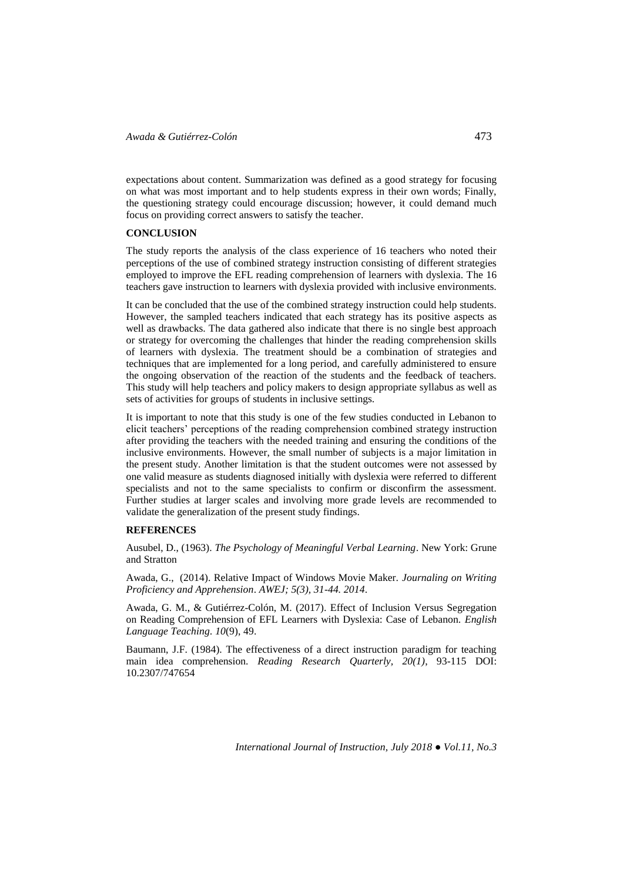expectations about content. Summarization was defined as a good strategy for focusing on what was most important and to help students express in their own words; Finally, the questioning strategy could encourage discussion; however, it could demand much focus on providing correct answers to satisfy the teacher.

#### **CONCLUSION**

The study reports the analysis of the class experience of 16 teachers who noted their perceptions of the use of combined strategy instruction consisting of different strategies employed to improve the EFL reading comprehension of learners with dyslexia. The 16 teachers gave instruction to learners with dyslexia provided with inclusive environments.

It can be concluded that the use of the combined strategy instruction could help students. However, the sampled teachers indicated that each strategy has its positive aspects as well as drawbacks. The data gathered also indicate that there is no single best approach or strategy for overcoming the challenges that hinder the reading comprehension skills of learners with dyslexia. The treatment should be a combination of strategies and techniques that are implemented for a long period, and carefully administered to ensure the ongoing observation of the reaction of the students and the feedback of teachers. This study will help teachers and policy makers to design appropriate syllabus as well as sets of activities for groups of students in inclusive settings.

It is important to note that this study is one of the few studies conducted in Lebanon to elicit teachers' perceptions of the reading comprehension combined strategy instruction after providing the teachers with the needed training and ensuring the conditions of the inclusive environments. However, the small number of subjects is a major limitation in the present study. Another limitation is that the student outcomes were not assessed by one valid measure as students diagnosed initially with dyslexia were referred to different specialists and not to the same specialists to confirm or disconfirm the assessment. Further studies at larger scales and involving more grade levels are recommended to validate the generalization of the present study findings.

#### **REFERENCES**

Ausubel, D., (1963). *The Psychology of Meaningful Verbal Learning*. New York: Grune and Stratton

Awada, G., (2014). Relative Impact of Windows Movie Maker. *Journaling on Writing Proficiency and Apprehension*. *AWEJ; 5(3), 31-44. 2014*.

Awada, G. M., & Gutiérrez-Colón, M. (2017). Effect of Inclusion Versus Segregation on Reading Comprehension of EFL Learners with Dyslexia: Case of Lebanon. *English Language Teaching. 10*(9), 49.

Baumann, J.F. (1984). The effectiveness of a direct instruction paradigm for teaching main idea comprehension. *Reading Research Quarterly, 20(1)*, 93-115 DOI: 10.2307/747654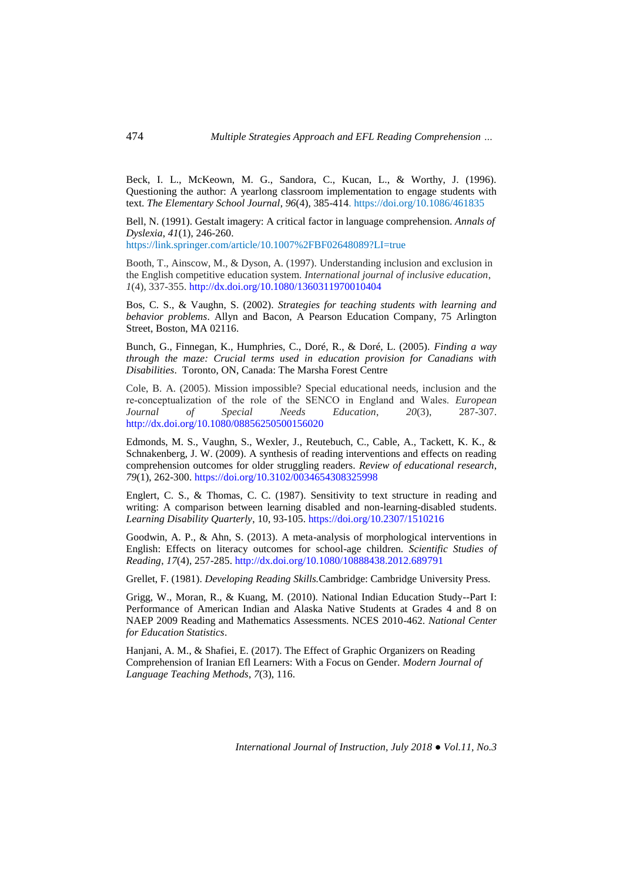Beck, I. L., McKeown, M. G., Sandora, C., Kucan, L., & Worthy, J. (1996). Questioning the author: A yearlong classroom implementation to engage students with text. *The Elementary School Journal*, *96*(4), 385-414. <https://doi.org/10.1086/461835>

Bell, N. (1991). Gestalt imagery: A critical factor in language comprehension. *Annals of Dyslexia*, *41*(1), 246-260.

<https://link.springer.com/article/10.1007%2FBF02648089?LI=true>

Booth, T., Ainscow, M., & Dyson, A. (1997). Understanding inclusion and exclusion in the English competitive education system. *International journal of inclusive education*, *1*(4), 337-355. <http://dx.doi.org/10.1080/1360311970010404>

Bos, C. S., & Vaughn, S. (2002). *Strategies for teaching students with learning and behavior problems*. Allyn and Bacon, A Pearson Education Company, 75 Arlington Street, Boston, MA 02116.

Bunch, G., Finnegan, K., Humphries, C., Doré, R., & Doré, L. (2005). *Finding a way through the maze: Crucial terms used in education provision for Canadians with Disabilities*. Toronto, ON, Canada: The Marsha Forest Centre

Cole, B. A. (2005). Mission impossible? Special educational needs, inclusion and the re‐conceptualization of the role of the SENCO in England and Wales. *European Journal of Special Needs Education*, *20*(3), 287-307. <http://dx.doi.org/10.1080/08856250500156020>

Edmonds, M. S., Vaughn, S., Wexler, J., Reutebuch, C., Cable, A., Tackett, K. K., & Schnakenberg, J. W. (2009). A synthesis of reading interventions and effects on reading comprehension outcomes for older struggling readers. *Review of educational research*, *79*(1), 262-300. <https://doi.org/10.3102/0034654308325998>

Englert, C. S., & Thomas, C. C. (1987). Sensitivity to text structure in reading and writing: A comparison between learning disabled and non-learning-disabled students. *Learning Disability Quarterly*, 10, 93-105. <https://doi.org/10.2307/1510216>

Goodwin, A. P., & Ahn, S. (2013). A meta-analysis of morphological interventions in English: Effects on literacy outcomes for school-age children. *Scientific Studies of Reading*, *17*(4), 257-285. <http://dx.doi.org/10.1080/10888438.2012.689791>

Grellet, F. (1981). *Developing Reading Skills.*Cambridge: Cambridge University Press.

Grigg, W., Moran, R., & Kuang, M. (2010). National Indian Education Study--Part I: Performance of American Indian and Alaska Native Students at Grades 4 and 8 on NAEP 2009 Reading and Mathematics Assessments. NCES 2010-462. *National Center for Education Statistics*.

Hanjani, A. M., & Shafiei, E. (2017). The Effect of Graphic Organizers on Reading Comprehension of Iranian Efl Learners: With a Focus on Gender. *Modern Journal of Language Teaching Methods*, *7*(3), 116.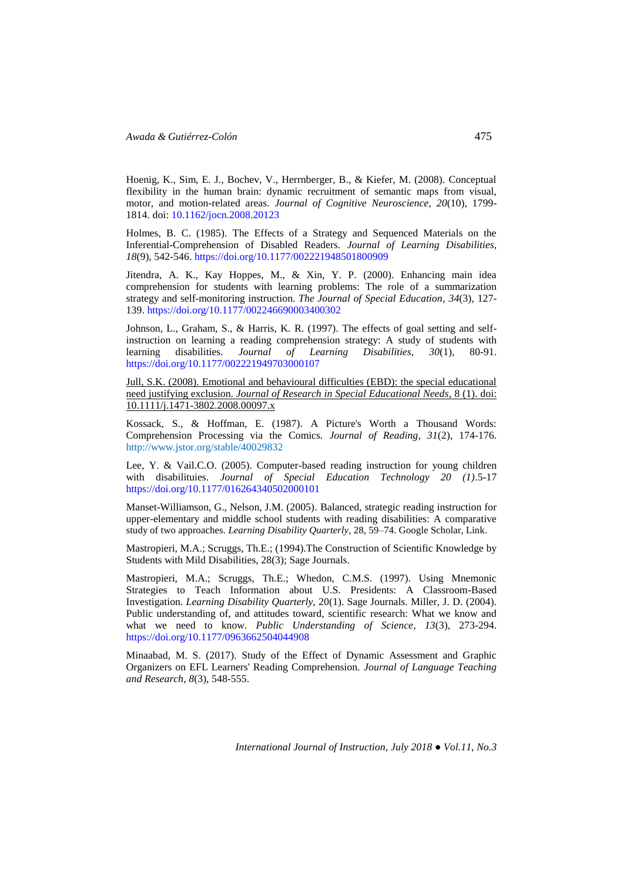Hoenig, K., Sim, E. J., Bochev, V., Herrnberger, B., & Kiefer, M. (2008). Conceptual flexibility in the human brain: dynamic recruitment of semantic maps from visual, motor, and motion-related areas. *Journal of Cognitive Neuroscience*, *20*(10), 1799- 1814. doi: [10.1162/jocn.2008.20123](http://dx.doi.org/10.1162/jocn.2008.20123)

Holmes, B. C. (1985). The Effects of a Strategy and Sequenced Materials on the Inferential-Comprehension of Disabled Readers. *Journal of Learning Disabilities*, *18*(9), 542-546. <https://doi.org/10.1177/002221948501800909>

Jitendra, A. K., Kay Hoppes, M., & Xin, Y. P. (2000). Enhancing main idea comprehension for students with learning problems: The role of a summarization strategy and self-monitoring instruction. *The Journal of Special Education*, *34*(3), 127- 139. <https://doi.org/10.1177/002246690003400302>

Johnson, L., Graham, S., & Harris, K. R. (1997). The effects of goal setting and selfinstruction on learning a reading comprehension strategy: A study of students with learning disabilities. *Journal of Learning Disabilities*, *30*(1), 80-91. <https://doi.org/10.1177/002221949703000107>

Jull, S.K. (2008). Emotional and behavioural difficulties (EBD): the special educational need justifying exclusion. *Journal of Research in Special Educational Needs*, 8 (1). doi: 10.1111/j.1471-3802.2008.00097.x

Kossack, S., & Hoffman, E. (1987). A Picture's Worth a Thousand Words: Comprehension Processing via the Comics. *Journal of Reading*, *31*(2), 174-176. http://www.jstor.org/stable/40029832

Lee, Y. & Vail.C.O. (2005). Computer-based reading instruction for young children with disabilituies. *Journal of Special Education Technology 20 (1)*.5-17 <https://doi.org/10.1177/016264340502000101>

Manset-Williamson, G., Nelson, J.M. (2005). Balanced, strategic reading instruction for upper-elementary and middle school students with reading disabilities: A comparative study of two approaches. *Learning Disability Quarterly*, 28, 59–74. Google Scholar, Link.

Mastropieri, M.A.; Scruggs, Th.E.; (1994).The Construction of Scientific Knowledge by Students with Mild Disabilities, 28(3); Sage Journals.

Mastropieri, M.A.; Scruggs, Th.E.; Whedon, C.M.S. (1997). Using Mnemonic Strategies to Teach Information about U.S. Presidents: A Classroom-Based Investigation. *Learning Disability Quarterly,* 20(1). Sage Journals. Miller, J. D. (2004). Public understanding of, and attitudes toward, scientific research: What we know and what we need to know. *Public Understanding of Science*, *13*(3), 273-294. <https://doi.org/10.1177/0963662504044908>

Minaabad, M. S. (2017). Study of the Effect of Dynamic Assessment and Graphic Organizers on EFL Learners' Reading Comprehension. *Journal of Language Teaching and Research*, *8*(3), 548-555.